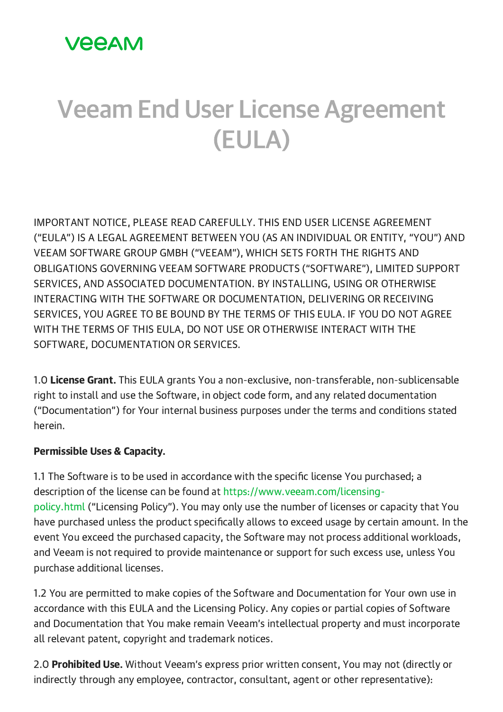## **VEEAM**

# Veeam End User License Agreement (EULA)

IMPORTANT NOTICE, PLEASE READ CAREFULLY. THIS END USER LICENSE AGREEMENT ("EULA") IS A LEGAL AGREEMENT BETWEEN YOU (AS AN INDIVIDUAL OR ENTITY, "YOU") AND VEEAM SOFTWARE GROUP GMBH ("VEEAM"), WHICH SETS FORTH THE RIGHTS AND OBLIGATIONS GOVERNING VEEAM SOFTWARE PRODUCTS ("SOFTWARE"), LIMITED SUPPORT SERVICES, AND ASSOCIATED DOCUMENTATION. BY INSTALLING, USING OR OTHERWISE INTERACTING WITH THE SOFTWARE OR DOCUMENTATION, DELIVERING OR RECEIVING SERVICES, YOU AGREE TO BE BOUND BY THE TERMS OF THIS EULA. IF YOU DO NOT AGREE WITH THE TERMS OF THIS EULA, DO NOT USE OR OTHERWISE INTERACT WITH THE SOFTWARE, DOCUMENTATION OR SERVICES.

1.0 License Grant. This EULA grants You a non-exclusive, non-transferable, non-sublicensable right to install and use the Software, in object code form, and any related documentation ("Documentation") for Your internal business purposes under the terms and conditions stated herein.

#### Permissible Uses & Capacity.

1.1 The Software is to be used in accordance with the specific license You purchased; a description of the license can be found at [https://www.veeam.com/licensing](https://www.veeam.com/licensing-policy.html?ad=in-text-link)policy.html ("Licensing Policy"). You may only use the number of licenses or capacity that You have purchased unless the product specifically allows to exceed usage by certain amount. In the event You exceed the purchased capacity, the Software may not process additional workloads, and Veeam is not required to provide maintenance or support for such excess use, unless You purchase additional licenses.

1.2 You are permitted to make copies of the Software and Documentation for Your own use in accordance with this EULA and the Licensing Policy. Any copies or partial copies of Software and Documentation that You make remain Veeam's intellectual property and must incorporate all relevant patent, copyright and trademark notices.

2.0 **Prohibited Use.** Without Veeam's express prior written consent, You may not (directly or indirectly through any employee, contractor, consultant, agent or other representative):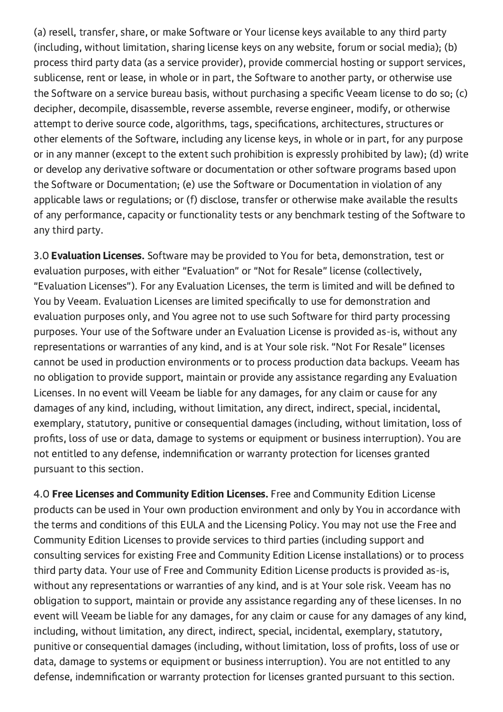(a) resell, transfer, share, or make Software or Your license keys available to any third party (including, without limitation, sharing license keys on any website, forum or social media); (b) process third party data (as a service provider), provide commercial hosting or support services, sublicense, rent or lease, in whole or in part, the Software to another party, or otherwise use the Software on a service bureau basis, without purchasing a specific Veeam license to do so; (c) decipher, decompile, disassemble, reverse assemble, reverse engineer, modify, or otherwise attempt to derive source code, algorithms, tags, specifications, architectures, structures or other elements of the Software, including any license keys, in whole or in part, for any purpose or in any manner (except to the extent such prohibition is expressly prohibited by law); (d) write or develop any derivative software or documentation or other software programs based upon the Software or Documentation; (e) use the Software or Documentation in violation of any applicable laws or regulations; or (f) disclose, transfer or otherwise make available the results of any performance, capacity or functionality tests or any benchmark testing of the Software to any third party.

3.0 **Evaluation Licenses.** Software may be provided to You for beta, demonstration, test or evaluation purposes, with either "Evaluation" or "Not for Resale" license (collectively, "Evaluation Licenses"). For any Evaluation Licenses, the term is limited and will be defined to You by Veeam. Evaluation Licenses are limited specifically to use for demonstration and evaluation purposes only, and You agree not to use such Software for third party processing purposes. Your use of the Software under an Evaluation License is provided as-is, without any representations or warranties of any kind, and is at Your sole risk. "Not For Resale" licenses cannot be used in production environments or to process production data backups. Veeam has no obligation to provide support, maintain or provide any assistance regarding any Evaluation Licenses. In no event will Veeam be liable for any damages, for any claim or cause for any damages of any kind, including, without limitation, any direct, indirect, special, incidental, exemplary, statutory, punitive or consequential damages (including, without limitation, loss of profits, loss of use or data, damage to systems or equipment or business interruption). You are not entitled to any defense, indemnification or warranty protection for licenses granted pursuant to this section.

4.0 Free Licenses and Community Edition Licenses. Free and Community Edition License products can be used in Your own production environment and only by You in accordance with the terms and conditions of this EULA and the Licensing Policy. You may not use the Free and Community Edition Licenses to provide services to third parties (including support and consulting services for existing Free and Community Edition License installations) or to process third party data. Your use of Free and Community Edition License products is provided as-is, without any representations or warranties of any kind, and is at Your sole risk. Veeam has no obligation to support, maintain or provide any assistance regarding any of these licenses. In no event will Veeam be liable for any damages, for any claim or cause for any damages of any kind, including, without limitation, any direct, indirect, special, incidental, exemplary, statutory, punitive or consequential damages (including, without limitation, loss of profits, loss of use or data, damage to systems or equipment or business interruption). You are not entitled to any defense, indemnification or warranty protection for licenses granted pursuant to this section.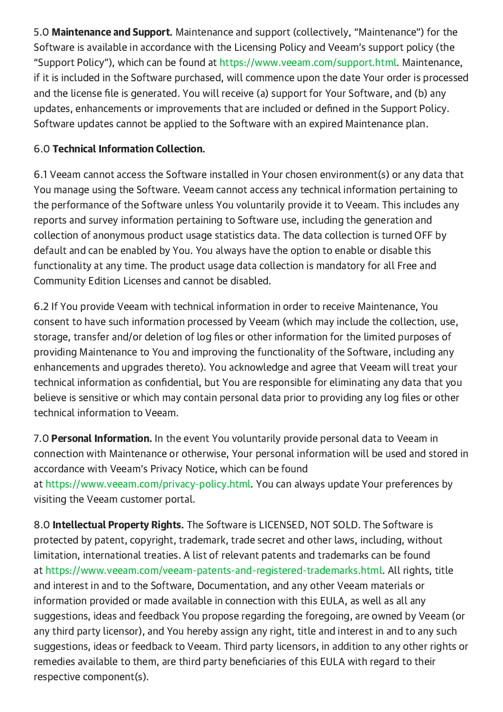5.0 Maintenance and Support. Maintenance and support (collectively, "Maintenance") for the Software is available in accordance with the Licensing Policy and Veeam's support policy (the "Support Policy"), which can be found at [https://www.veeam.com/support.html](https://www.veeam.com/support.html?ad=in-text-link). Maintenance, if it is included in the Software purchased, will commence upon the date Your order is processed and the license file is generated. You will receive (a) support for Your Software, and (b) any updates, enhancements or improvements that are included or defined in the Support Policy. Software updates cannot be applied to the Software with an expired Maintenance plan.

### 6.0 Technical Information Collection.

6.1 Veeam cannot access the Software installed in Your chosen environment(s) or any data that You manage using the Software. Veeam cannot access any technical information pertaining to the performance of the Software unless You voluntarily provide it to Veeam. This includes any reports and survey information pertaining to Software use, including the generation and collection of anonymous product usage statistics data. The data collection is turned OFF by default and can be enabled by You. You always have the option to enable or disable this functionality at any time. The product usage data collection is mandatory for all Free and Community Edition Licenses and cannot be disabled.

6.2 If You provide Veeam with technical information in order to receive Maintenance, You consent to have such information processed by Veeam (which may include the collection, use, storage, transfer and/or deletion of log files or other information for the limited purposes of providing Maintenance to You and improving the functionality of the Software, including any enhancements and upgrades thereto). You acknowledge and agree that Veeam will treat your technical information as confidential, but You are responsible for eliminating any data that you believe is sensitive or which may contain personal data prior to providing any log files or other technical information to Veeam.

7.0 **Personal Information.** In the event You voluntarily provide personal data to Veeam in connection with Maintenance or otherwise, Your personal information will be used and stored in accordance with Veeam's Privacy Notice, which can be found at [https://www.veeam.com/privacy-policy.html](https://www.veeam.com/privacy-policy.html?ad=in-text-link). You can always update Your preferences by visiting the Veeam customer portal.

8.0 **Intellectual Property Rights.** The Software is LICENSED, NOT SOLD. The Software is protected by patent, copyright, trademark, trade secret and other laws, including, without limitation, international treaties. A list of relevant patents and trademarks can be found at [https://www.veeam.com/veeam-patents-and-registered-trademarks.html.](https://www.veeam.com/veeam-patents-and-registered-trademarks.html?ad=in-text-link) All rights, title and interest in and to the Software, Documentation, and any other Veeam materials or information provided or made available in connection with this EULA, as well as all any suggestions, ideas and feedback You propose regarding the foregoing, are owned by Veeam (or any third party licensor), and You hereby assign any right, title and interest in and to any such suggestions, ideas or feedback to Veeam. Third party licensors, in addition to any other rights or remedies available to them, are third party beneficiaries of this EULA with regard to their respective component(s).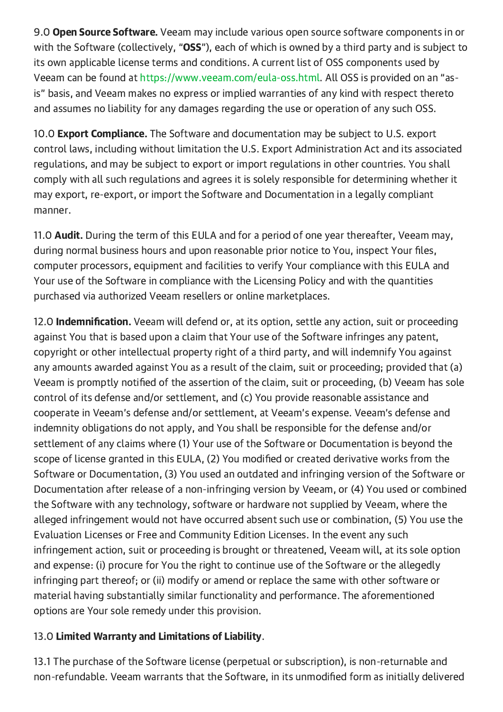9.0 **Open Source Software.** Veeam may include various open source software components in or with the Software (collectively, "OSS"), each of which is owned by a third party and is subject to its own applicable license terms and conditions. A current list of OSS components used by Veeam can be found at [https://www.veeam.com/eula-oss.html.](https://www.veeam.com/eula-oss.html?ad=in-text-link) All OSS is provided on an "asis" basis, and Veeam makes no express or implied warranties of any kind with respect thereto and assumes no liability for any damages regarding the use or operation of any such OSS.

10.0 **Export Compliance.** The Software and documentation may be subject to U.S. export control laws, including without limitation the U.S. Export Administration Act and its associated regulations, and may be subject to export or import regulations in other countries. You shall comply with all such regulations and agrees it is solely responsible for determining whether it may export, re-export, or import the Software and Documentation in a legally compliant manner.

11.0 **Audit.** During the term of this EULA and for a period of one year thereafter, Veeam may, during normal business hours and upon reasonable prior notice to You, inspect Your files, computer processors, equipment and facilities to verify Your compliance with this EULA and Your use of the Software in compliance with the Licensing Policy and with the quantities purchased via authorized Veeam resellers or online marketplaces.

12.0 Indemnification. Veeam will defend or, at its option, settle any action, suit or proceeding against You that is based upon a claim that Your use of the Software infringes any patent, copyright or other intellectual property right of a third party, and will indemnify You against any amounts awarded against You as a result of the claim, suit or proceeding; provided that (a) Veeam is promptly notified of the assertion of the claim, suit or proceeding, (b) Veeam has sole control of its defense and/or settlement, and (c) You provide reasonable assistance and cooperate in Veeam's defense and/or settlement, at Veeam's expense. Veeam's defense and indemnity obligations do not apply, and You shall be responsible for the defense and/or settlement of any claims where (1) Your use of the Software or Documentation is beyond the scope of license granted in this EULA, (2) You modified or created derivative works from the Software or Documentation, (3) You used an outdated and infringing version of the Software or Documentation after release of a non-infringing version by Veeam, or (4) You used or combined the Software with any technology, software or hardware not supplied by Veeam, where the alleged infringement would not have occurred absent such use or combination, (5) You use the Evaluation Licenses or Free and Community Edition Licenses. In the event any such infringement action, suit or proceeding is brought or threatened, Veeam will, at its sole option and expense: (i) procure for You the right to continue use of the Software or the allegedly infringing part thereof; or (ii) modify or amend or replace the same with other software or material having substantially similar functionality and performance. The aforementioned options are Your sole remedy under this provision.

#### 13.0 Limited Warranty and Limitations of Liability.

13.1 The purchase of the Software license (perpetual or subscription), is non-returnable and non-refundable. Veeam warrants that the Software, in its unmodified form as initially delivered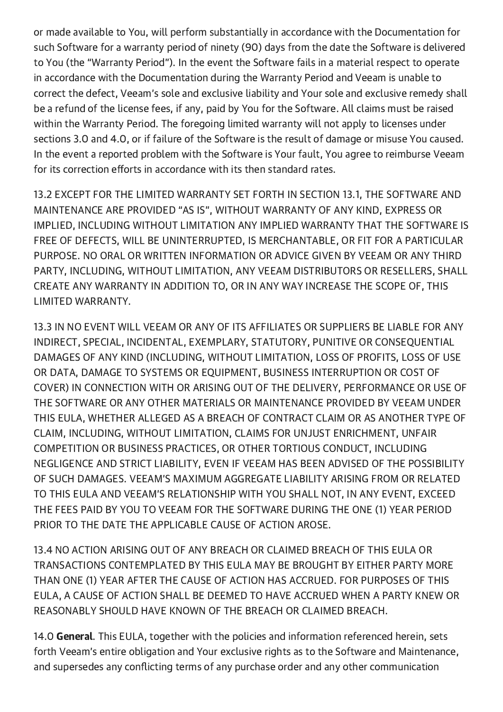or made available to You, will perform substantially in accordance with the Documentation for such Software for a warranty period of ninety (90) days from the date the Software is delivered to You (the "Warranty Period"). In the event the Software fails in a material respect to operate in accordance with the Documentation during the Warranty Period and Veeam is unable to correct the defect, Veeam's sole and exclusive liability and Your sole and exclusive remedy shall be a refund of the license fees, if any, paid by You for the Software. All claims must be raised within the Warranty Period. The foregoing limited warranty will not apply to licenses under sections 3.0 and 4.0, or if failure of the Software is the result of damage or misuse You caused. In the event a reported problem with the Software is Your fault, You agree to reimburse Veeam for its correction efforts in accordance with its then standard rates.

13.2 EXCEPT FOR THE LIMITED WARRANTY SET FORTH IN SECTION 13.1, THE SOFTWARE AND MAINTENANCE ARE PROVIDED "AS IS", WITHOUT WARRANTY OF ANY KIND, EXPRESS OR IMPLIED, INCLUDING WITHOUT LIMITATION ANY IMPLIED WARRANTY THAT THE SOFTWARE IS FREE OF DEFECTS, WILL BE UNINTERRUPTED, IS MERCHANTABLE, OR FIT FOR A PARTICULAR PURPOSE. NO ORAL OR WRITTEN INFORMATION OR ADVICE GIVEN BY VEEAM OR ANY THIRD PARTY, INCLUDING, WITHOUT LIMITATION, ANY VEEAM DISTRIBUTORS OR RESELLERS, SHALL CREATE ANY WARRANTY IN ADDITION TO, OR IN ANY WAY INCREASE THE SCOPE OF, THIS LIMITED WARRANTY.

13.3 IN NO EVENT WILL VEEAM OR ANY OF ITS AFFILIATES OR SUPPLIERS BE LIABLE FOR ANY INDIRECT, SPECIAL, INCIDENTAL, EXEMPLARY, STATUTORY, PUNITIVE OR CONSEQUENTIAL DAMAGES OF ANY KIND (INCLUDING, WITHOUT LIMITATION, LOSS OF PROFITS, LOSS OF USE OR DATA, DAMAGE TO SYSTEMS OR EQUIPMENT, BUSINESS INTERRUPTION OR COST OF COVER) IN CONNECTION WITH OR ARISING OUT OF THE DELIVERY, PERFORMANCE OR USE OF THE SOFTWARE OR ANY OTHER MATERIALS OR MAINTENANCE PROVIDED BY VEEAM UNDER THIS EULA, WHETHER ALLEGED AS A BREACH OF CONTRACT CLAIM OR AS ANOTHER TYPE OF CLAIM, INCLUDING, WITHOUT LIMITATION, CLAIMS FOR UNJUST ENRICHMENT, UNFAIR COMPETITION OR BUSINESS PRACTICES, OR OTHER TORTIOUS CONDUCT, INCLUDING NEGLIGENCE AND STRICT LIABILITY, EVEN IF VEEAM HAS BEEN ADVISED OF THE POSSIBILITY OF SUCH DAMAGES. VEEAM'S MAXIMUM AGGREGATE LIABILITY ARISING FROM OR RELATED TO THIS EULA AND VEEAM'S RELATIONSHIP WITH YOU SHALL NOT, IN ANY EVENT, EXCEED THE FEES PAID BY YOU TO VEEAM FOR THE SOFTWARE DURING THE ONE (1) YEAR PERIOD PRIOR TO THE DATE THE APPLICABLE CAUSE OF ACTION AROSE.

13.4 NO ACTION ARISING OUT OF ANY BREACH OR CLAIMED BREACH OF THIS EULA OR TRANSACTIONS CONTEMPLATED BY THIS EULA MAY BE BROUGHT BY EITHER PARTY MORE THAN ONE (1) YEAR AFTER THE CAUSE OF ACTION HAS ACCRUED. FOR PURPOSES OF THIS EULA, A CAUSE OF ACTION SHALL BE DEEMED TO HAVE ACCRUED WHEN A PARTY KNEW OR REASONABLY SHOULD HAVE KNOWN OF THE BREACH OR CLAIMED BREACH.

14.0 General. This EULA, together with the policies and information referenced herein, sets forth Veeam's entire obligation and Your exclusive rights as to the Software and Maintenance, and supersedes any conflicting terms of any purchase order and any other communication